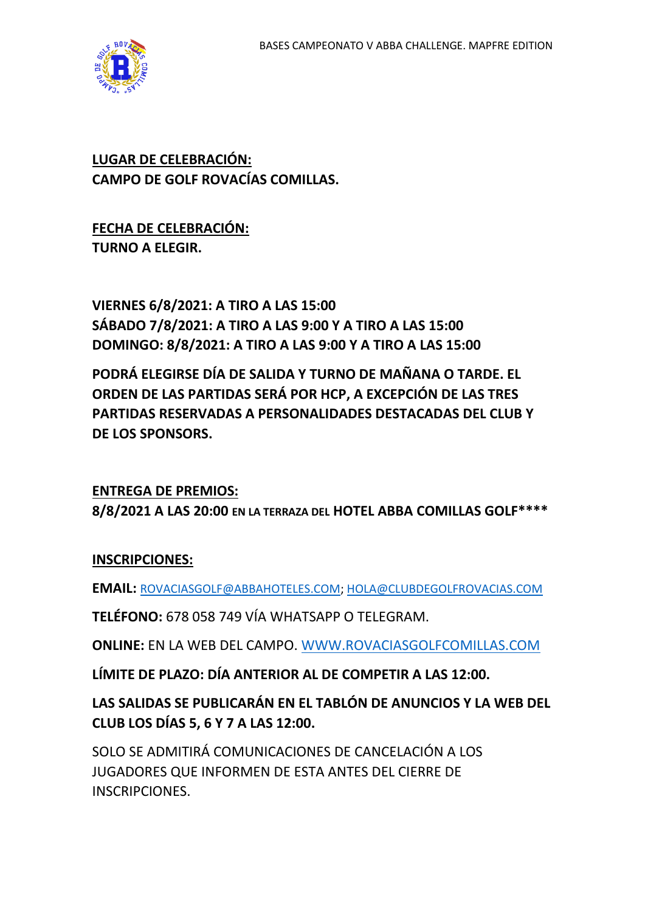

#### **LUGAR DE CELEBRACIÓN: CAMPO DE GOLF ROVACÍAS COMILLAS.**

**FECHA DE CELEBRACIÓN: TURNO A ELEGIR.**

**VIERNES 6/8/2021: A TIRO A LAS 15:00 SÁBADO 7/8/2021: A TIRO A LAS 9:00 Y A TIRO A LAS 15:00 DOMINGO: 8/8/2021: A TIRO A LAS 9:00 Y A TIRO A LAS 15:00**

**PODRÁ ELEGIRSE DÍA DE SALIDA Y TURNO DE MAÑANA O TARDE. EL ORDEN DE LAS PARTIDAS SERÁ POR HCP, A EXCEPCIÓN DE LAS TRES PARTIDAS RESERVADAS A PERSONALIDADES DESTACADAS DEL CLUB Y DE LOS SPONSORS.**

**ENTREGA DE PREMIOS: 8/8/2021 A LAS 20:00 EN LA TERRAZA DEL HOTEL ABBA COMILLAS GOLF\*\*\*\***

#### **INSCRIPCIONES:**

**EMAIL:** [ROVACIASGOLF@ABBAHOTELES.COM;](mailto:ROVACIASGOLF@ABBAHOTELES.COM) [HOLA@CLUBDEGOLFROVACIAS.COM](mailto:HOLA@CLUBDEGOLFROVACIAS.COM)

**TELÉFONO:** 678 058 749 VÍA WHATSAPP O TELEGRAM.

**ONLINE:** EN LA WEB DEL CAMPO. [WWW.ROVACIASGOLFCOMILLAS.COM](http://www.rovaciasgolfcomillas.com/)

**LÍMITE DE PLAZO: DÍA ANTERIOR AL DE COMPETIR A LAS 12:00.**

**LAS SALIDAS SE PUBLICARÁN EN EL TABLÓN DE ANUNCIOS Y LA WEB DEL CLUB LOS DÍAS 5, 6 Y 7 A LAS 12:00.**

SOLO SE ADMITIRÁ COMUNICACIONES DE CANCELACIÓN A LOS JUGADORES QUE INFORMEN DE ESTA ANTES DEL CIERRE DE INSCRIPCIONES.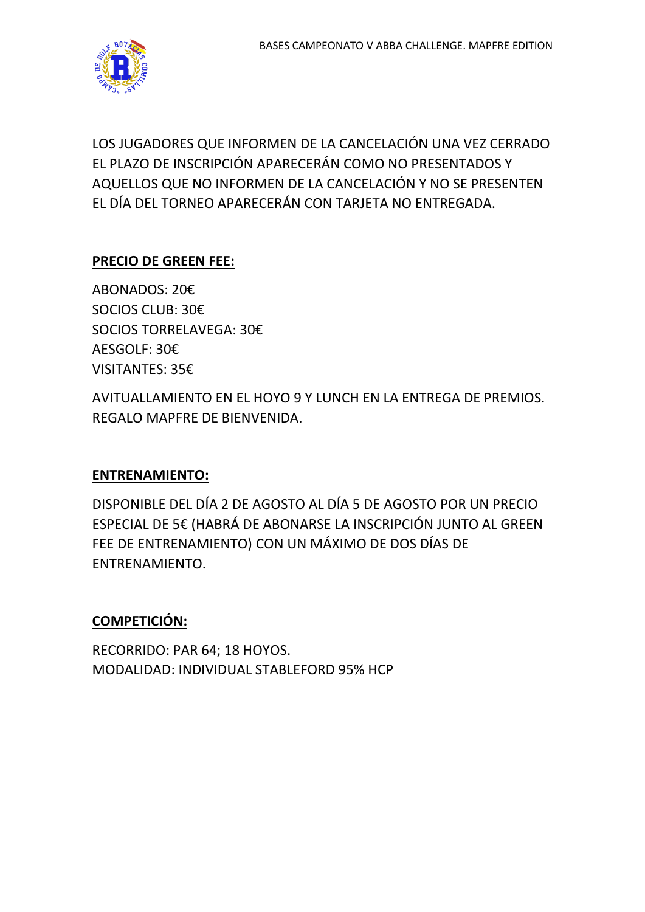

LOS JUGADORES QUE INFORMEN DE LA CANCELACIÓN UNA VEZ CERRADO EL PLAZO DE INSCRIPCIÓN APARECERÁN COMO NO PRESENTADOS Y AQUELLOS QUE NO INFORMEN DE LA CANCELACIÓN Y NO SE PRESENTEN EL DÍA DEL TORNEO APARECERÁN CON TARJETA NO ENTREGADA.

# **PRECIO DE GREEN FEE:**

ABONADOS: 20€ SOCIOS CLUB: 30€ SOCIOS TORRELAVEGA: 30€ AESGOLF: 30€ VISITANTES: 35€

AVITUALLAMIENTO EN EL HOYO 9 Y LUNCH EN LA ENTREGA DE PREMIOS. REGALO MAPFRE DE BIENVENIDA.

#### **ENTRENAMIENTO:**

DISPONIBLE DEL DÍA 2 DE AGOSTO AL DÍA 5 DE AGOSTO POR UN PRECIO ESPECIAL DE 5€ (HABRÁ DE ABONARSE LA INSCRIPCIÓN JUNTO AL GREEN FEE DE ENTRENAMIENTO) CON UN MÁXIMO DE DOS DÍAS DE ENTRENAMIENTO.

## **COMPETICIÓN:**

RECORRIDO: PAR 64; 18 HOYOS. MODALIDAD: INDIVIDUAL STABLEFORD 95% HCP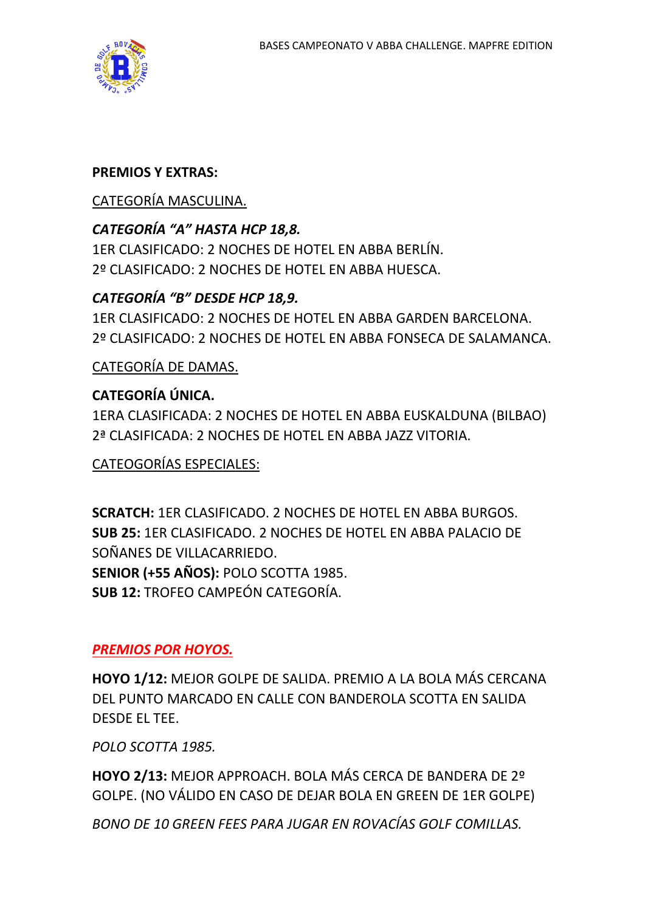

#### **PREMIOS Y EXTRAS:**

#### CATEGORÍA MASCULINA.

## *CATEGORÍA "A" HASTA HCP 18,8.*

1ER CLASIFICADO: 2 NOCHES DE HOTEL EN ABBA BERLÍN. 2º CLASIFICADO: 2 NOCHES DE HOTEL EN ABBA HUESCA.

## *CATEGORÍA "B" DESDE HCP 18,9.*

1ER CLASIFICADO: 2 NOCHES DE HOTEL EN ABBA GARDEN BARCELONA. 2º CLASIFICADO: 2 NOCHES DE HOTEL EN ABBA FONSECA DE SALAMANCA.

CATEGORÍA DE DAMAS.

## **CATEGORÍA ÚNICA.**

1ERA CLASIFICADA: 2 NOCHES DE HOTEL EN ABBA EUSKALDUNA (BILBAO) 2ª CLASIFICADA: 2 NOCHES DE HOTEL EN ABBA JAZZ VITORIA.

CATEOGORÍAS ESPECIALES:

**SCRATCH:** 1ER CLASIFICADO. 2 NOCHES DE HOTEL EN ABBA BURGOS. **SUB 25:** 1ER CLASIFICADO. 2 NOCHES DE HOTEL EN ABBA PALACIO DE SOÑANES DE VILLACARRIEDO. **SENIOR (+55 AÑOS):** POLO SCOTTA 1985. **SUB 12:** TROFEO CAMPEÓN CATEGORÍA.

# *PREMIOS POR HOYOS.*

**HOYO 1/12:** MEJOR GOLPE DE SALIDA. PREMIO A LA BOLA MÁS CERCANA DEL PUNTO MARCADO EN CALLE CON BANDEROLA SCOTTA EN SALIDA DESDE EL TEE.

*POLO SCOTTA 1985.*

**HOYO 2/13:** MEJOR APPROACH. BOLA MÁS CERCA DE BANDERA DE 2º GOLPE. (NO VÁLIDO EN CASO DE DEJAR BOLA EN GREEN DE 1ER GOLPE)

*BONO DE 10 GREEN FEES PARA JUGAR EN ROVACÍAS GOLF COMILLAS.*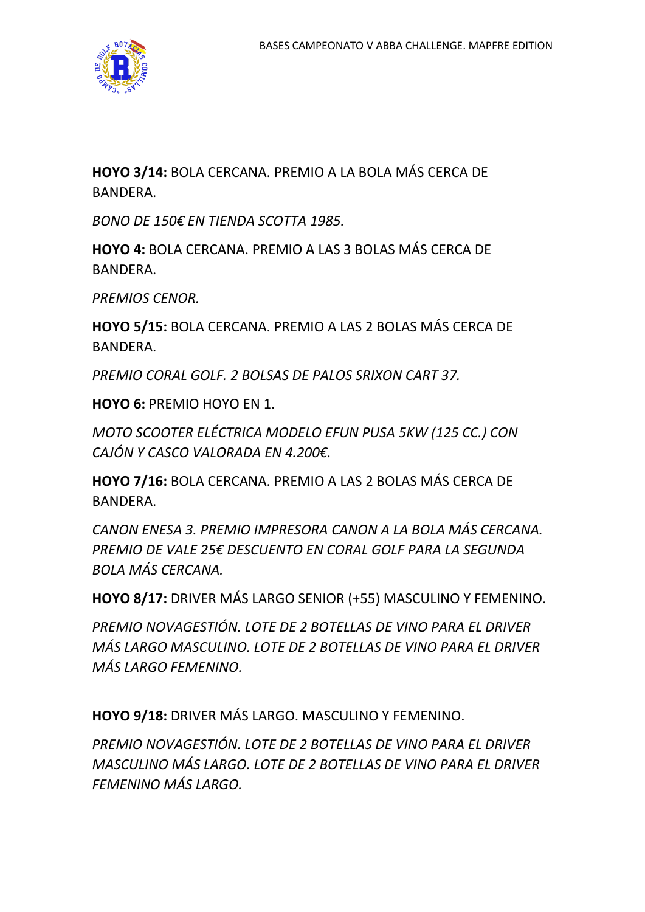

**HOYO 3/14:** BOLA CERCANA. PREMIO A LA BOLA MÁS CERCA DE BANDERA.

*BONO DE 150€ EN TIENDA SCOTTA 1985.*

**HOYO 4:** BOLA CERCANA. PREMIO A LAS 3 BOLAS MÁS CERCA DE BANDERA.

*PREMIOS CENOR.*

**HOYO 5/15:** BOLA CERCANA. PREMIO A LAS 2 BOLAS MÁS CERCA DE BANDERA.

*PREMIO CORAL GOLF. 2 BOLSAS DE PALOS SRIXON CART 37.*

**HOYO 6:** PREMIO HOYO EN 1.

*MOTO SCOOTER ELÉCTRICA MODELO EFUN PUSA 5KW (125 CC.) CON CAJÓN Y CASCO VALORADA EN 4.200€.*

**HOYO 7/16:** BOLA CERCANA. PREMIO A LAS 2 BOLAS MÁS CERCA DE BANDERA.

*CANON ENESA 3. PREMIO IMPRESORA CANON A LA BOLA MÁS CERCANA. PREMIO DE VALE 25€ DESCUENTO EN CORAL GOLF PARA LA SEGUNDA BOLA MÁS CERCANA.*

**HOYO 8/17:** DRIVER MÁS LARGO SENIOR (+55) MASCULINO Y FEMENINO.

*PREMIO NOVAGESTIÓN. LOTE DE 2 BOTELLAS DE VINO PARA EL DRIVER MÁS LARGO MASCULINO. LOTE DE 2 BOTELLAS DE VINO PARA EL DRIVER MÁS LARGO FEMENINO.*

**HOYO 9/18:** DRIVER MÁS LARGO. MASCULINO Y FEMENINO.

*PREMIO NOVAGESTIÓN. LOTE DE 2 BOTELLAS DE VINO PARA EL DRIVER MASCULINO MÁS LARGO. LOTE DE 2 BOTELLAS DE VINO PARA EL DRIVER FEMENINO MÁS LARGO.*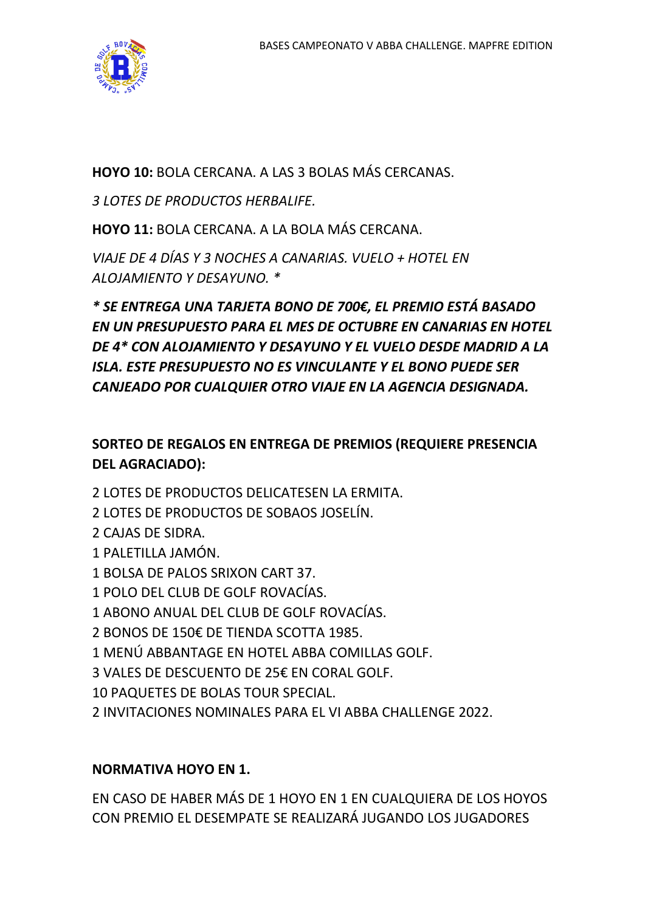

**HOYO 10:** BOLA CERCANA. A LAS 3 BOLAS MÁS CERCANAS.

*3 LOTES DE PRODUCTOS HERBALIFE.*

**HOYO 11:** BOLA CERCANA. A LA BOLA MÁS CERCANA.

*VIAJE DE 4 DÍAS Y 3 NOCHES A CANARIAS. VUELO + HOTEL EN ALOJAMIENTO Y DESAYUNO. \**

*\* SE ENTREGA UNA TARJETA BONO DE 700€, EL PREMIO ESTÁ BASADO EN UN PRESUPUESTO PARA EL MES DE OCTUBRE EN CANARIAS EN HOTEL DE 4\* CON ALOJAMIENTO Y DESAYUNO Y EL VUELO DESDE MADRID A LA ISLA. ESTE PRESUPUESTO NO ES VINCULANTE Y EL BONO PUEDE SER CANJEADO POR CUALQUIER OTRO VIAJE EN LA AGENCIA DESIGNADA.*

## **SORTEO DE REGALOS EN ENTREGA DE PREMIOS (REQUIERE PRESENCIA DEL AGRACIADO):**

2 LOTES DE PRODUCTOS DELICATESEN LA ERMITA.

- 2 LOTES DE PRODUCTOS DE SOBAOS JOSELÍN.
- 2 CAJAS DE SIDRA.
- 1 PALETILLA JAMÓN.
- 1 BOLSA DE PALOS SRIXON CART 37.
- 1 POLO DEL CLUB DE GOLF ROVACÍAS.
- 1 ABONO ANUAL DEL CLUB DE GOLF ROVACÍAS.
- 2 BONOS DE 150€ DE TIENDA SCOTTA 1985.
- 1 MENÚ ABBANTAGE EN HOTEL ABBA COMILLAS GOLF.
- 3 VALES DE DESCUENTO DE 25€ EN CORAL GOLF.
- 10 PAQUETES DE BOLAS TOUR SPECIAL.
- 2 INVITACIONES NOMINALES PARA EL VI ABBA CHALLENGE 2022.

## **NORMATIVA HOYO EN 1.**

EN CASO DE HABER MÁS DE 1 HOYO EN 1 EN CUALQUIERA DE LOS HOYOS CON PREMIO EL DESEMPATE SE REALIZARÁ JUGANDO LOS JUGADORES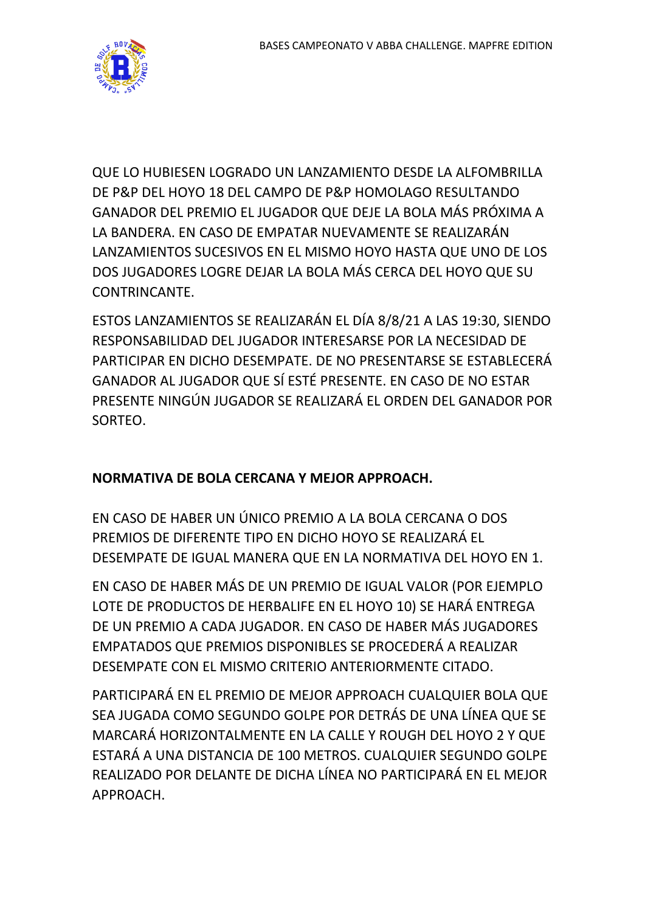

QUE LO HUBIESEN LOGRADO UN LANZAMIENTO DESDE LA ALFOMBRILLA DE P&P DEL HOYO 18 DEL CAMPO DE P&P HOMOLAGO RESULTANDO GANADOR DEL PREMIO EL JUGADOR QUE DEJE LA BOLA MÁS PRÓXIMA A LA BANDERA. EN CASO DE EMPATAR NUEVAMENTE SE REALIZARÁN LANZAMIENTOS SUCESIVOS EN EL MISMO HOYO HASTA QUE UNO DE LOS DOS JUGADORES LOGRE DEJAR LA BOLA MÁS CERCA DEL HOYO QUE SU CONTRINCANTE.

ESTOS LANZAMIENTOS SE REALIZARÁN EL DÍA 8/8/21 A LAS 19:30, SIENDO RESPONSABILIDAD DEL JUGADOR INTERESARSE POR LA NECESIDAD DE PARTICIPAR EN DICHO DESEMPATE. DE NO PRESENTARSE SE ESTABLECERÁ GANADOR AL JUGADOR QUE SÍ ESTÉ PRESENTE. EN CASO DE NO ESTAR PRESENTE NINGÚN JUGADOR SE REALIZARÁ EL ORDEN DEL GANADOR POR SORTEO.

## **NORMATIVA DE BOLA CERCANA Y MEJOR APPROACH.**

EN CASO DE HABER UN ÚNICO PREMIO A LA BOLA CERCANA O DOS PREMIOS DE DIFERENTE TIPO EN DICHO HOYO SE REALIZARÁ EL DESEMPATE DE IGUAL MANERA QUE EN LA NORMATIVA DEL HOYO EN 1.

EN CASO DE HABER MÁS DE UN PREMIO DE IGUAL VALOR (POR EJEMPLO LOTE DE PRODUCTOS DE HERBALIFE EN EL HOYO 10) SE HARÁ ENTREGA DE UN PREMIO A CADA JUGADOR. EN CASO DE HABER MÁS JUGADORES EMPATADOS QUE PREMIOS DISPONIBLES SE PROCEDERÁ A REALIZAR DESEMPATE CON EL MISMO CRITERIO ANTERIORMENTE CITADO.

PARTICIPARÁ EN EL PREMIO DE MEJOR APPROACH CUALQUIER BOLA QUE SEA JUGADA COMO SEGUNDO GOLPE POR DETRÁS DE UNA LÍNEA QUE SE MARCARÁ HORIZONTALMENTE EN LA CALLE Y ROUGH DEL HOYO 2 Y QUE ESTARÁ A UNA DISTANCIA DE 100 METROS. CUALQUIER SEGUNDO GOLPE REALIZADO POR DELANTE DE DICHA LÍNEA NO PARTICIPARÁ EN EL MEJOR APPROACH.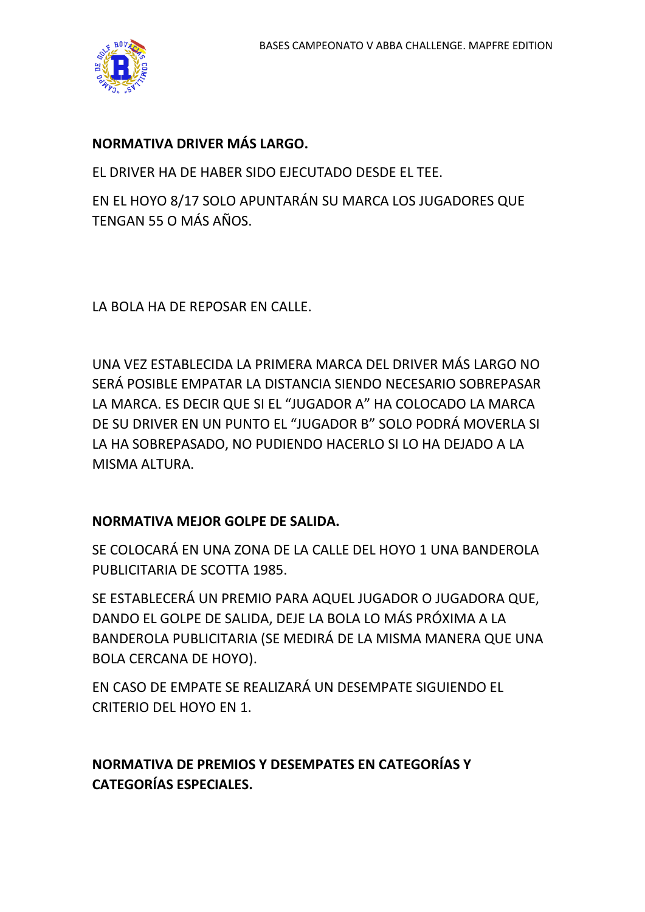

#### **NORMATIVA DRIVER MÁS LARGO.**

EL DRIVER HA DE HABER SIDO EJECUTADO DESDE EL TEE.

EN EL HOYO 8/17 SOLO APUNTARÁN SU MARCA LOS JUGADORES QUE TENGAN 55 O MÁS AÑOS.

LA BOLA HA DE REPOSAR EN CALLE.

UNA VEZ ESTABLECIDA LA PRIMERA MARCA DEL DRIVER MÁS LARGO NO SERÁ POSIBLE EMPATAR LA DISTANCIA SIENDO NECESARIO SOBREPASAR LA MARCA. ES DECIR QUE SI EL "JUGADOR A" HA COLOCADO LA MARCA DE SU DRIVER EN UN PUNTO EL "JUGADOR B" SOLO PODRÁ MOVERLA SI LA HA SOBREPASADO, NO PUDIENDO HACERLO SI LO HA DEJADO A LA MISMA ALTURA.

#### **NORMATIVA MEJOR GOLPE DE SALIDA.**

SE COLOCARÁ EN UNA ZONA DE LA CALLE DEL HOYO 1 UNA BANDEROLA PUBLICITARIA DE SCOTTA 1985.

SE ESTABLECERÁ UN PREMIO PARA AQUEL JUGADOR O JUGADORA QUE, DANDO EL GOLPE DE SALIDA, DEJE LA BOLA LO MÁS PRÓXIMA A LA BANDEROLA PUBLICITARIA (SE MEDIRÁ DE LA MISMA MANERA QUE UNA BOLA CERCANA DE HOYO).

EN CASO DE EMPATE SE REALIZARÁ UN DESEMPATE SIGUIENDO EL CRITERIO DEL HOYO EN 1.

# **NORMATIVA DE PREMIOS Y DESEMPATES EN CATEGORÍAS Y CATEGORÍAS ESPECIALES.**